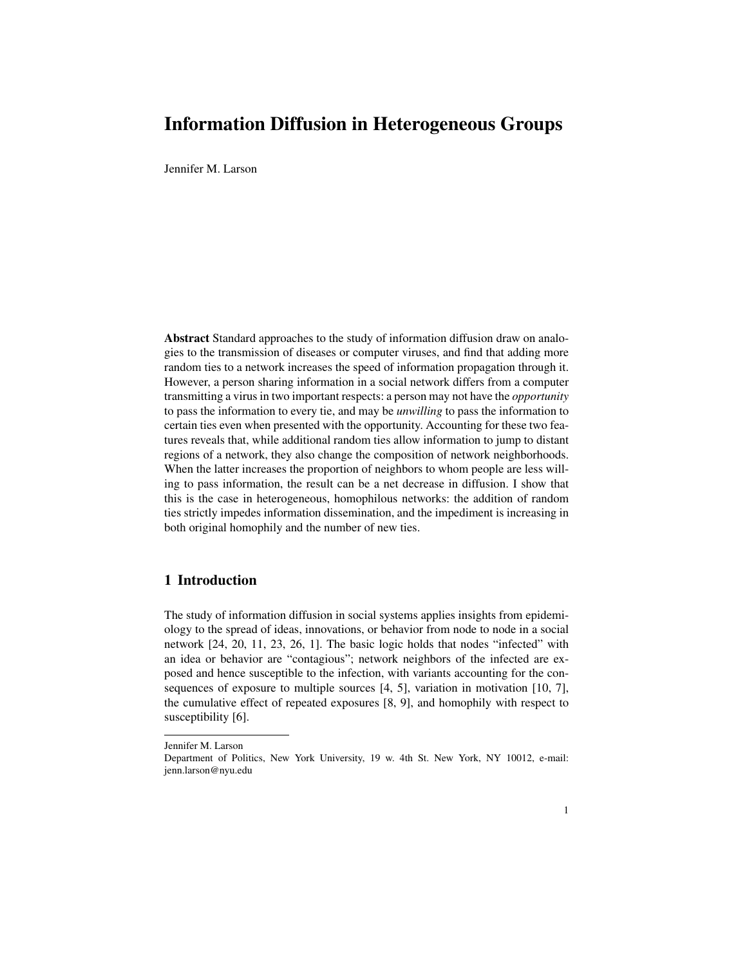# Information Diffusion in Heterogeneous Groups

Jennifer M. Larson

Abstract Standard approaches to the study of information diffusion draw on analogies to the transmission of diseases or computer viruses, and find that adding more random ties to a network increases the speed of information propagation through it. However, a person sharing information in a social network differs from a computer transmitting a virus in two important respects: a person may not have the *opportunity* to pass the information to every tie, and may be *unwilling* to pass the information to certain ties even when presented with the opportunity. Accounting for these two features reveals that, while additional random ties allow information to jump to distant regions of a network, they also change the composition of network neighborhoods. When the latter increases the proportion of neighbors to whom people are less willing to pass information, the result can be a net decrease in diffusion. I show that this is the case in heterogeneous, homophilous networks: the addition of random ties strictly impedes information dissemination, and the impediment is increasing in both original homophily and the number of new ties.

### 1 Introduction

The study of information diffusion in social systems applies insights from epidemiology to the spread of ideas, innovations, or behavior from node to node in a social network [24, 20, 11, 23, 26, 1]. The basic logic holds that nodes "infected" with an idea or behavior are "contagious"; network neighbors of the infected are exposed and hence susceptible to the infection, with variants accounting for the consequences of exposure to multiple sources [4, 5], variation in motivation [10, 7], the cumulative effect of repeated exposures [8, 9], and homophily with respect to susceptibility [6].

Jennifer M. Larson

Department of Politics, New York University, 19 w. 4th St. New York, NY 10012, e-mail: jenn.larson@nyu.edu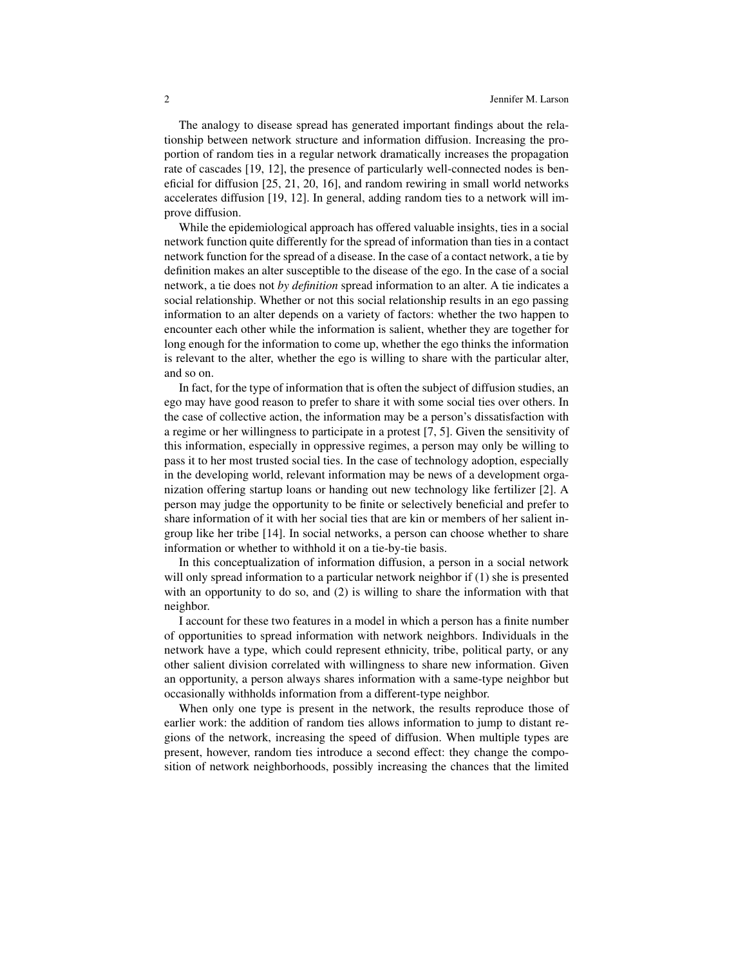The analogy to disease spread has generated important findings about the relationship between network structure and information diffusion. Increasing the proportion of random ties in a regular network dramatically increases the propagation rate of cascades [19, 12], the presence of particularly well-connected nodes is beneficial for diffusion [25, 21, 20, 16], and random rewiring in small world networks accelerates diffusion [19, 12]. In general, adding random ties to a network will improve diffusion.

While the epidemiological approach has offered valuable insights, ties in a social network function quite differently for the spread of information than ties in a contact network function for the spread of a disease. In the case of a contact network, a tie by definition makes an alter susceptible to the disease of the ego. In the case of a social network, a tie does not *by definition* spread information to an alter. A tie indicates a social relationship. Whether or not this social relationship results in an ego passing information to an alter depends on a variety of factors: whether the two happen to encounter each other while the information is salient, whether they are together for long enough for the information to come up, whether the ego thinks the information is relevant to the alter, whether the ego is willing to share with the particular alter, and so on.

In fact, for the type of information that is often the subject of diffusion studies, an ego may have good reason to prefer to share it with some social ties over others. In the case of collective action, the information may be a person's dissatisfaction with a regime or her willingness to participate in a protest [7, 5]. Given the sensitivity of this information, especially in oppressive regimes, a person may only be willing to pass it to her most trusted social ties. In the case of technology adoption, especially in the developing world, relevant information may be news of a development organization offering startup loans or handing out new technology like fertilizer [2]. A person may judge the opportunity to be finite or selectively beneficial and prefer to share information of it with her social ties that are kin or members of her salient ingroup like her tribe [14]. In social networks, a person can choose whether to share information or whether to withhold it on a tie-by-tie basis.

In this conceptualization of information diffusion, a person in a social network will only spread information to a particular network neighbor if (1) she is presented with an opportunity to do so, and (2) is willing to share the information with that neighbor.

I account for these two features in a model in which a person has a finite number of opportunities to spread information with network neighbors. Individuals in the network have a type, which could represent ethnicity, tribe, political party, or any other salient division correlated with willingness to share new information. Given an opportunity, a person always shares information with a same-type neighbor but occasionally withholds information from a different-type neighbor.

When only one type is present in the network, the results reproduce those of earlier work: the addition of random ties allows information to jump to distant regions of the network, increasing the speed of diffusion. When multiple types are present, however, random ties introduce a second effect: they change the composition of network neighborhoods, possibly increasing the chances that the limited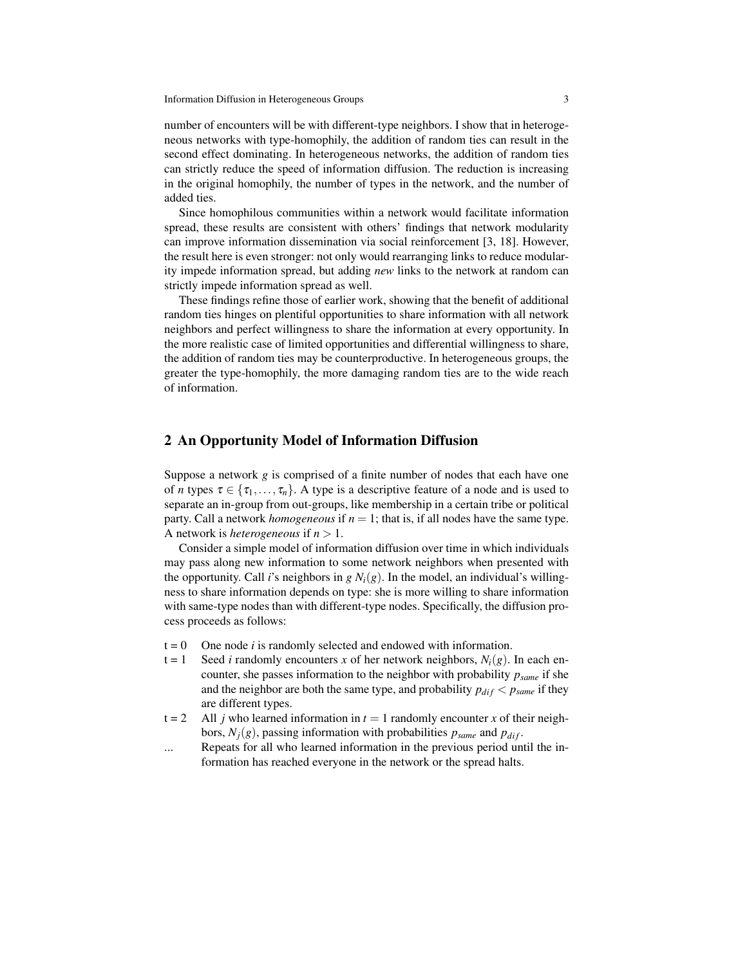number of encounters will be with different-type neighbors. I show that in heterogeneous networks with type-homophily, the addition of random ties can result in the second effect dominating. In heterogeneous networks, the addition of random ties can strictly reduce the speed of information diffusion. The reduction is increasing in the original homophily, the number of types in the network, and the number of added ties.

Since homophilous communities within a network would facilitate information spread, these results are consistent with others' findings that network modularity can improve information dissemination via social reinforcement [3, 18]. However, the result here is even stronger: not only would rearranging links to reduce modularity impede information spread, but adding *new* links to the network at random can strictly impede information spread as well.

These findings refine those of earlier work, showing that the benefit of additional random ties hinges on plentiful opportunities to share information with all network neighbors and perfect willingness to share the information at every opportunity. In the more realistic case of limited opportunities and differential willingness to share, the addition of random ties may be counterproductive. In heterogeneous groups, the greater the type-homophily, the more damaging random ties are to the wide reach of information.

#### 2 An Opportunity Model of Information Diffusion

Suppose a network *g* is comprised of a finite number of nodes that each have one of *n* types  $\tau \in {\tau_1, \ldots, \tau_n}$ . A type is a descriptive feature of a node and is used to separate an in-group from out-groups, like membership in a certain tribe or political party. Call a network *homogeneous* if  $n = 1$ ; that is, if all nodes have the same type. A network is *heterogeneous* if *n* > 1.

Consider a simple model of information diffusion over time in which individuals may pass along new information to some network neighbors when presented with the opportunity. Call *i*'s neighbors in  $g N_i(g)$ . In the model, an individual's willingness to share information depends on type: she is more willing to share information with same-type nodes than with different-type nodes. Specifically, the diffusion process proceeds as follows:

- $t = 0$  One node *i* is randomly selected and endowed with information.
- $t = 1$  Seed *i* randomly encounters *x* of her network neighbors,  $N_i(g)$ . In each encounter, she passes information to the neighbor with probability *psame* if she and the neighbor are both the same type, and probability  $p_{dif} < p_{same}$  if they are different types.
- $t = 2$  All *j* who learned information in  $t = 1$  randomly encounter *x* of their neighbors,  $N_i(g)$ , passing information with probabilities  $p_{\text{same}}$  and  $p_{\text{dif}}$ .
- ... Repeats for all who learned information in the previous period until the information has reached everyone in the network or the spread halts.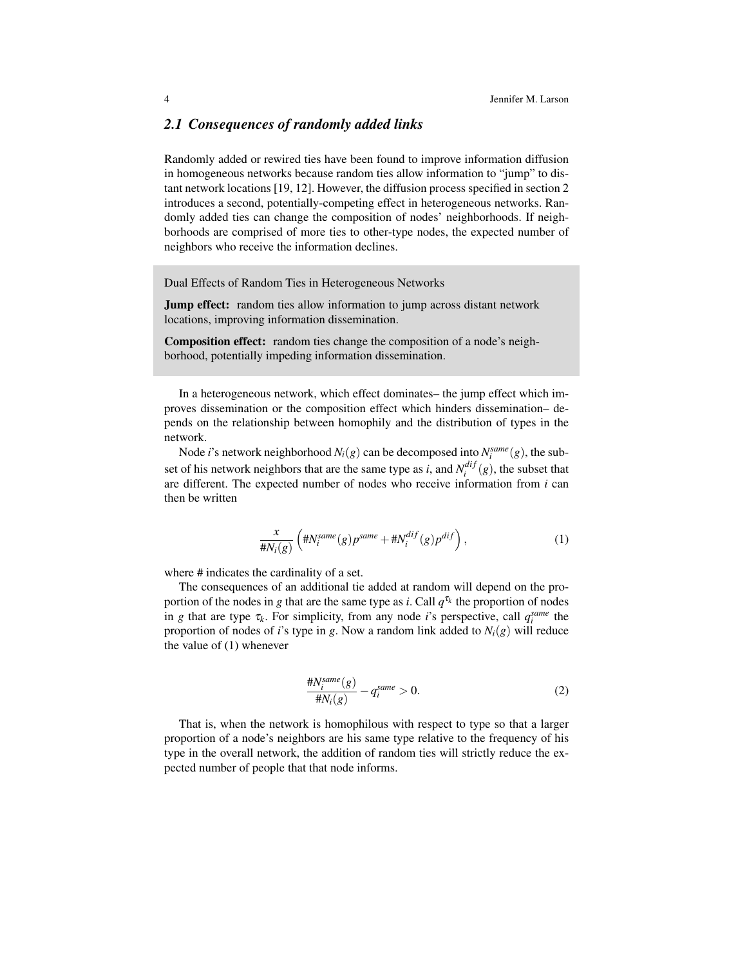#### *2.1 Consequences of randomly added links*

Randomly added or rewired ties have been found to improve information diffusion in homogeneous networks because random ties allow information to "jump" to distant network locations [19, 12]. However, the diffusion process specified in section 2 introduces a second, potentially-competing effect in heterogeneous networks. Randomly added ties can change the composition of nodes' neighborhoods. If neighborhoods are comprised of more ties to other-type nodes, the expected number of neighbors who receive the information declines.

Dual Effects of Random Ties in Heterogeneous Networks

**Jump effect:** random ties allow information to jump across distant network locations, improving information dissemination.

Composition effect: random ties change the composition of a node's neighborhood, potentially impeding information dissemination.

In a heterogeneous network, which effect dominates– the jump effect which improves dissemination or the composition effect which hinders dissemination– depends on the relationship between homophily and the distribution of types in the network.

Node *i*'s network neighborhood  $N_i(g)$  can be decomposed into  $N_i^{same}(g)$ , the subset of his network neighbors that are the same type as *i*, and  $N_i^{diff}(g)$ , the subset that are different. The expected number of nodes who receive information from *i* can then be written

$$
\frac{x}{\#N_i(g)}\left(\#N_i^{same}(g)p^{same} + \#N_i^{dif}(g)p^{dif}\right),\tag{1}
$$

where  $\#$  indicates the cardinality of a set.

The consequences of an additional tie added at random will depend on the proportion of the nodes in *g* that are the same type as *i*. Call *q* <sup>τ</sup>*<sup>k</sup>* the proportion of nodes in *g* that are type  $\tau_k$ . For simplicity, from any node *i*'s perspective, call  $q_i^{same}$  the proportion of nodes of *i*'s type in *g*. Now a random link added to  $N_i(g)$  will reduce the value of (1) whenever

$$
\frac{\#N_i^{same}(g)}{\#N_i(g)} - q_i^{same} > 0.
$$
\n(2)

That is, when the network is homophilous with respect to type so that a larger proportion of a node's neighbors are his same type relative to the frequency of his type in the overall network, the addition of random ties will strictly reduce the expected number of people that that node informs.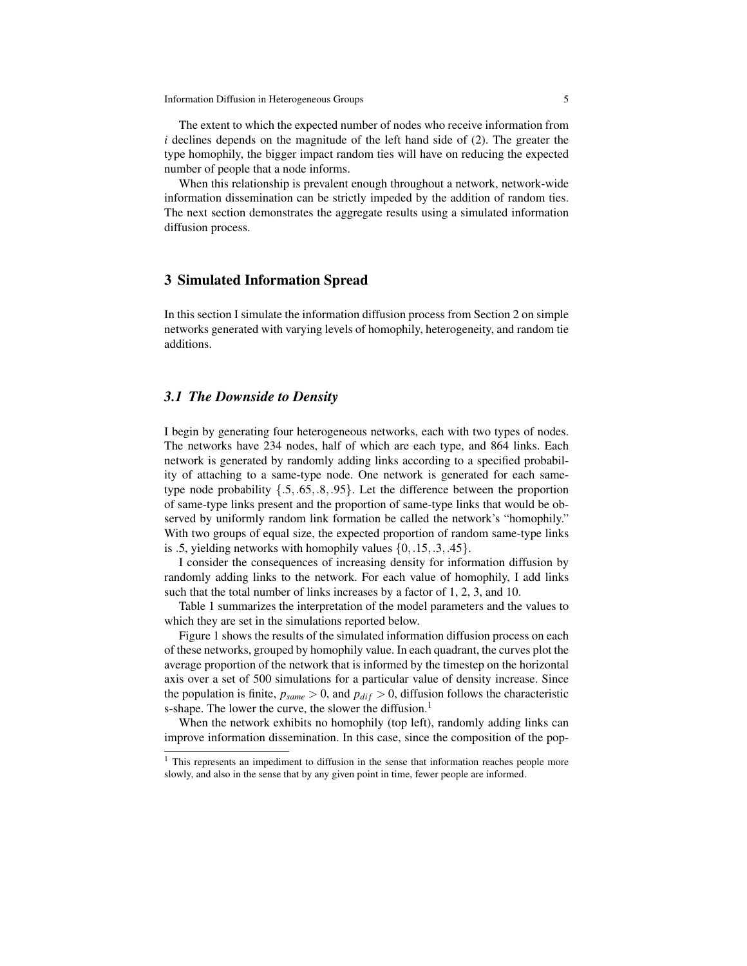Information Diffusion in Heterogeneous Groups 5

The extent to which the expected number of nodes who receive information from *i* declines depends on the magnitude of the left hand side of (2). The greater the type homophily, the bigger impact random ties will have on reducing the expected number of people that a node informs.

When this relationship is prevalent enough throughout a network, network-wide information dissemination can be strictly impeded by the addition of random ties. The next section demonstrates the aggregate results using a simulated information diffusion process.

#### 3 Simulated Information Spread

In this section I simulate the information diffusion process from Section 2 on simple networks generated with varying levels of homophily, heterogeneity, and random tie additions.

#### *3.1 The Downside to Density*

I begin by generating four heterogeneous networks, each with two types of nodes. The networks have 234 nodes, half of which are each type, and 864 links. Each network is generated by randomly adding links according to a specified probability of attaching to a same-type node. One network is generated for each sametype node probability {.5,.65,.8,.95}. Let the difference between the proportion of same-type links present and the proportion of same-type links that would be observed by uniformly random link formation be called the network's "homophily." With two groups of equal size, the expected proportion of random same-type links is .5, yielding networks with homophily values  $\{0, 15, .3, .45\}$ .

I consider the consequences of increasing density for information diffusion by randomly adding links to the network. For each value of homophily, I add links such that the total number of links increases by a factor of 1, 2, 3, and 10.

Table 1 summarizes the interpretation of the model parameters and the values to which they are set in the simulations reported below.

Figure 1 shows the results of the simulated information diffusion process on each of these networks, grouped by homophily value. In each quadrant, the curves plot the average proportion of the network that is informed by the timestep on the horizontal axis over a set of 500 simulations for a particular value of density increase. Since the population is finite,  $p_{same} > 0$ , and  $p_{dif} > 0$ , diffusion follows the characteristic s-shape. The lower the curve, the slower the diffusion.<sup>1</sup>

When the network exhibits no homophily (top left), randomly adding links can improve information dissemination. In this case, since the composition of the pop-

<sup>&</sup>lt;sup>1</sup> This represents an impediment to diffusion in the sense that information reaches people more slowly, and also in the sense that by any given point in time, fewer people are informed.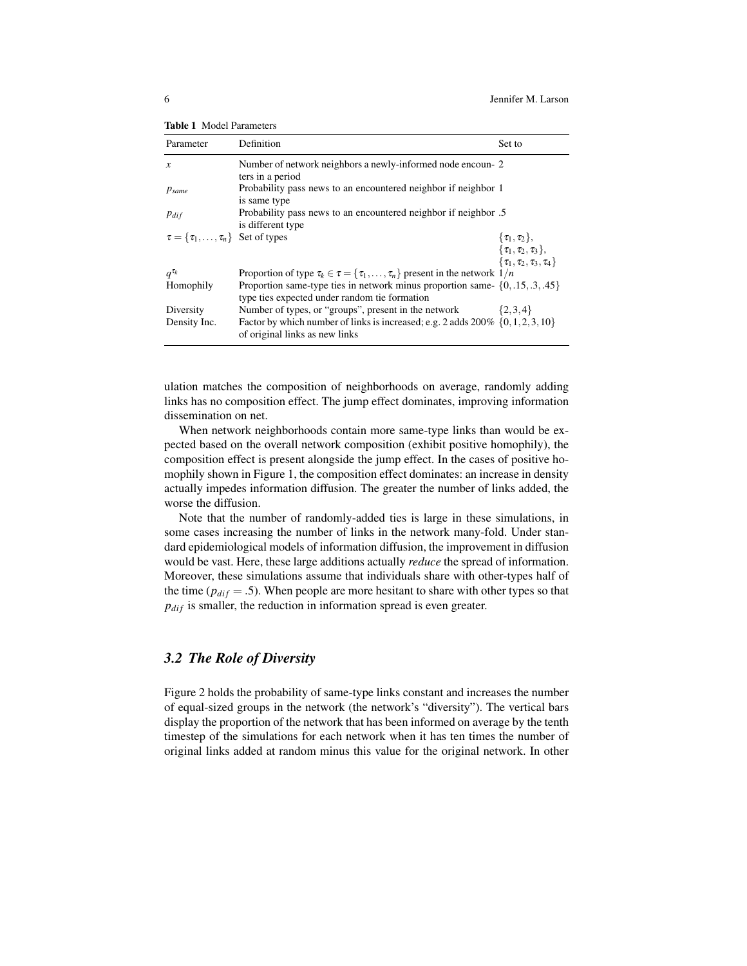| Parameter                                      | Definition                                                                                                                         | Set to                                                                                         |
|------------------------------------------------|------------------------------------------------------------------------------------------------------------------------------------|------------------------------------------------------------------------------------------------|
| x                                              | Number of network neighbors a newly-informed node encoun-2<br>ters in a period                                                     |                                                                                                |
| $p_{same}$                                     | Probability pass news to an encountered neighbor if neighbor 1<br>is same type                                                     |                                                                                                |
| $p_{dif}$                                      | Probability pass news to an encountered neighbor if neighbor .5<br>is different type                                               |                                                                                                |
| $\tau = {\tau_1, \ldots, \tau_n}$ Set of types |                                                                                                                                    | { $\tau_1, \tau_2$ },<br>{ $\tau_1, \tau_2, \tau_3$ },<br>$\{\tau_1, \tau_2, \tau_3, \tau_4\}$ |
| $q^{\tau_k}$                                   | Proportion of type $\tau_k \in \tau = {\tau_1, \ldots, \tau_n}$ present in the network $1/n$                                       |                                                                                                |
| Homophily                                      | Proportion same-type ties in network minus proportion same- $\{0, .15, .3, .45\}$<br>type ties expected under random tie formation |                                                                                                |
| Diversity                                      | Number of types, or "groups", present in the network $\{2,3,4\}$                                                                   |                                                                                                |
| Density Inc.                                   | Factor by which number of links is increased; e.g. 2 adds $200\%$ $\{0, 1, 2, 3, 10\}$<br>of original links as new links           |                                                                                                |

Table 1 Model Parameters

ulation matches the composition of neighborhoods on average, randomly adding links has no composition effect. The jump effect dominates, improving information dissemination on net.

When network neighborhoods contain more same-type links than would be expected based on the overall network composition (exhibit positive homophily), the composition effect is present alongside the jump effect. In the cases of positive homophily shown in Figure 1, the composition effect dominates: an increase in density actually impedes information diffusion. The greater the number of links added, the worse the diffusion.

Note that the number of randomly-added ties is large in these simulations, in some cases increasing the number of links in the network many-fold. Under standard epidemiological models of information diffusion, the improvement in diffusion would be vast. Here, these large additions actually *reduce* the spread of information. Moreover, these simulations assume that individuals share with other-types half of the time ( $p_{dif} = .5$ ). When people are more hesitant to share with other types so that  $p_{dif}$  is smaller, the reduction in information spread is even greater.

## *3.2 The Role of Diversity*

Figure 2 holds the probability of same-type links constant and increases the number of equal-sized groups in the network (the network's "diversity"). The vertical bars display the proportion of the network that has been informed on average by the tenth timestep of the simulations for each network when it has ten times the number of original links added at random minus this value for the original network. In other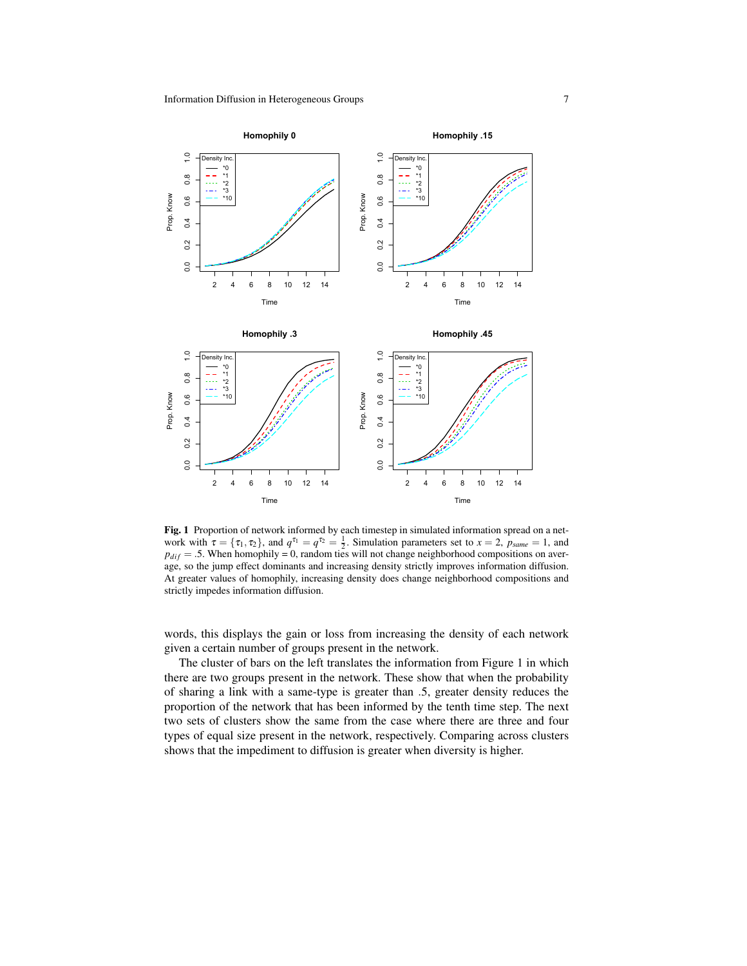

Fig. 1 Proportion of network informed by each timestep in simulated information spread on a network with  $\tau = {\tau_1, \tau_2}$ , and  $q^{\tau_1} = q^{\tau_2} = \frac{1}{2}$ . Simulation parameters set to  $x = 2$ ,  $p_{same} = 1$ , and  $p_{dif} = .5$ . When homophily = 0, random ties will not change neighborhood compositions on average, so the jump effect dominants and increasing density strictly improves information diffusion. At greater values of homophily, increasing density does change neighborhood compositions and strictly impedes information diffusion.

words, this displays the gain or loss from increasing the density of each network given a certain number of groups present in the network.

The cluster of bars on the left translates the information from Figure 1 in which there are two groups present in the network. These show that when the probability of sharing a link with a same-type is greater than .5, greater density reduces the proportion of the network that has been informed by the tenth time step. The next two sets of clusters show the same from the case where there are three and four types of equal size present in the network, respectively. Comparing across clusters shows that the impediment to diffusion is greater when diversity is higher.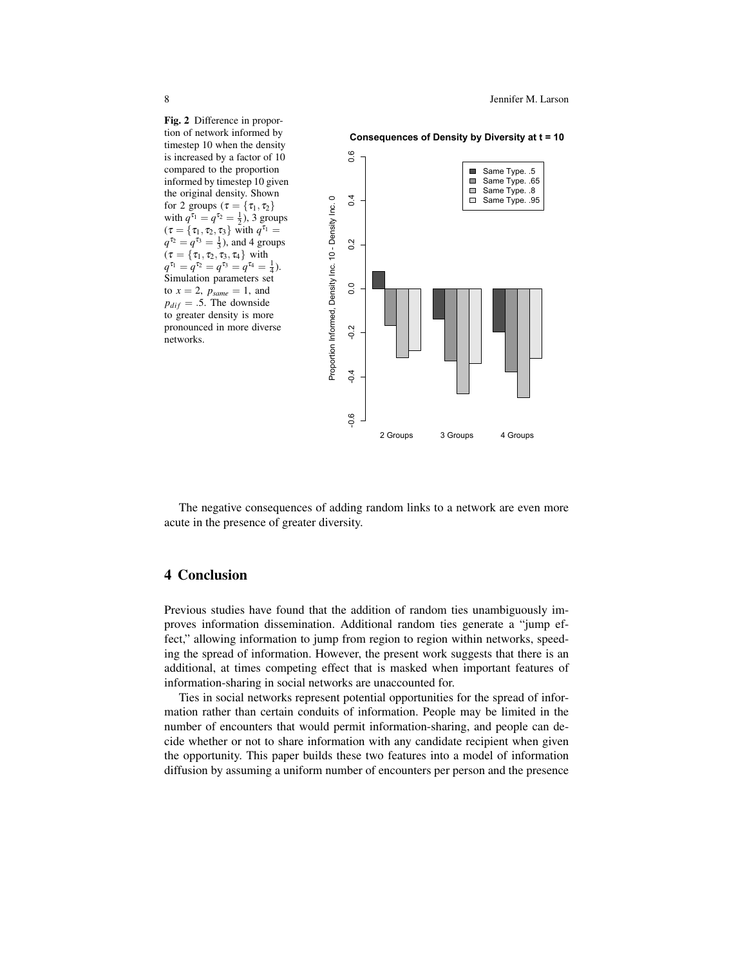Fig. 2 Difference in proportion of network informed by timestep 10 when the density is increased by a factor of 10 compared to the proportion informed by timestep 10 given the original density. Shown for 2 groups ( $\tau = {\tau_1, \tau_2}$ ) with  $q^{\tau_1} = q^{\tau_2} = \frac{1}{2}$ ), 3 groups  $(\tau = {\tau_1, \tau_2, \tau_3}$  with  $q^{\tau_1} =$  $q^{\tau_2} = q^{\tau_3} = \frac{1}{3}$ , and 4 groups  $(\tau = {\tau_1, \tau_2, \tau_3, \tau_4}$  with  $q^{\tau_1} = q^{\tau_2} = q^{\tau_3} = q^{\tau_4} = \frac{1}{4}$ ). Simulation parameters set to  $x = 2$ ,  $p_{same} = 1$ , and  $p_{dif} = .5$ . The downside to greater density is more pronounced in more diverse networks.



The negative consequences of adding random links to a network are even more acute in the presence of greater diversity.

#### 4 Conclusion

Previous studies have found that the addition of random ties unambiguously improves information dissemination. Additional random ties generate a "jump effect," allowing information to jump from region to region within networks, speeding the spread of information. However, the present work suggests that there is an additional, at times competing effect that is masked when important features of information-sharing in social networks are unaccounted for.

Ties in social networks represent potential opportunities for the spread of information rather than certain conduits of information. People may be limited in the number of encounters that would permit information-sharing, and people can decide whether or not to share information with any candidate recipient when given the opportunity. This paper builds these two features into a model of information diffusion by assuming a uniform number of encounters per person and the presence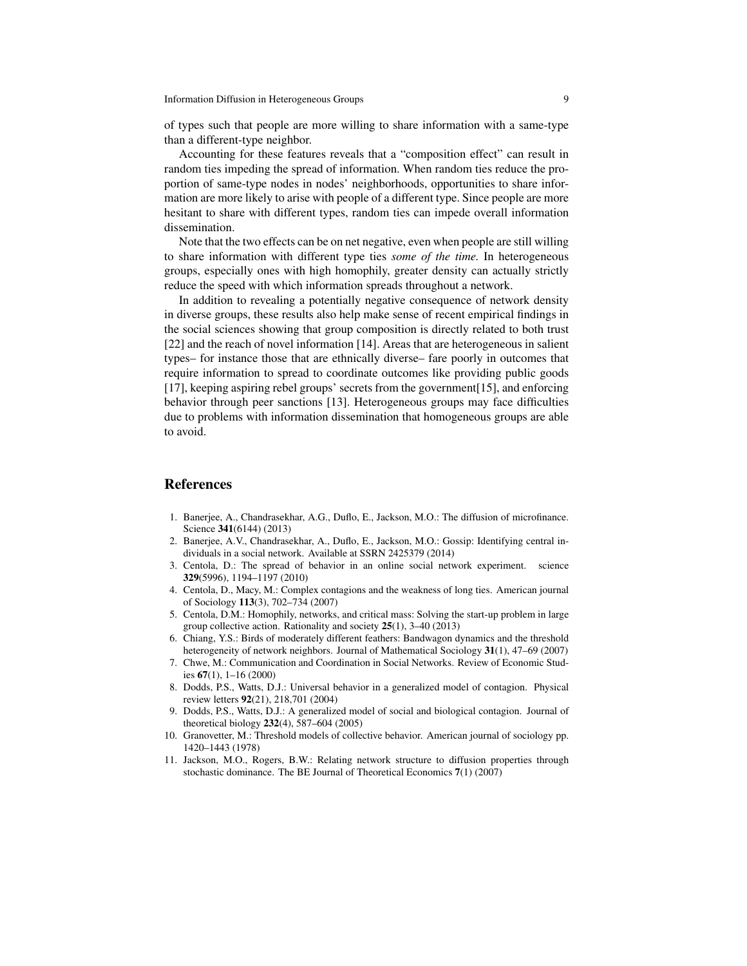of types such that people are more willing to share information with a same-type than a different-type neighbor.

Accounting for these features reveals that a "composition effect" can result in random ties impeding the spread of information. When random ties reduce the proportion of same-type nodes in nodes' neighborhoods, opportunities to share information are more likely to arise with people of a different type. Since people are more hesitant to share with different types, random ties can impede overall information dissemination.

Note that the two effects can be on net negative, even when people are still willing to share information with different type ties *some of the time.* In heterogeneous groups, especially ones with high homophily, greater density can actually strictly reduce the speed with which information spreads throughout a network.

In addition to revealing a potentially negative consequence of network density in diverse groups, these results also help make sense of recent empirical findings in the social sciences showing that group composition is directly related to both trust [22] and the reach of novel information [14]. Areas that are heterogeneous in salient types– for instance those that are ethnically diverse– fare poorly in outcomes that require information to spread to coordinate outcomes like providing public goods [17], keeping aspiring rebel groups' secrets from the government[15], and enforcing behavior through peer sanctions [13]. Heterogeneous groups may face difficulties due to problems with information dissemination that homogeneous groups are able to avoid.

#### **References**

- 1. Banerjee, A., Chandrasekhar, A.G., Duflo, E., Jackson, M.O.: The diffusion of microfinance. Science 341(6144) (2013)
- 2. Banerjee, A.V., Chandrasekhar, A., Duflo, E., Jackson, M.O.: Gossip: Identifying central individuals in a social network. Available at SSRN 2425379 (2014)
- 3. Centola, D.: The spread of behavior in an online social network experiment. science 329(5996), 1194–1197 (2010)
- 4. Centola, D., Macy, M.: Complex contagions and the weakness of long ties. American journal of Sociology 113(3), 702–734 (2007)
- 5. Centola, D.M.: Homophily, networks, and critical mass: Solving the start-up problem in large group collective action. Rationality and society 25(1), 3–40 (2013)
- 6. Chiang, Y.S.: Birds of moderately different feathers: Bandwagon dynamics and the threshold heterogeneity of network neighbors. Journal of Mathematical Sociology 31(1), 47–69 (2007)
- 7. Chwe, M.: Communication and Coordination in Social Networks. Review of Economic Studies 67(1), 1–16 (2000)
- 8. Dodds, P.S., Watts, D.J.: Universal behavior in a generalized model of contagion. Physical review letters 92(21), 218,701 (2004)
- 9. Dodds, P.S., Watts, D.J.: A generalized model of social and biological contagion. Journal of theoretical biology 232(4), 587–604 (2005)
- 10. Granovetter, M.: Threshold models of collective behavior. American journal of sociology pp. 1420–1443 (1978)
- 11. Jackson, M.O., Rogers, B.W.: Relating network structure to diffusion properties through stochastic dominance. The BE Journal of Theoretical Economics 7(1) (2007)